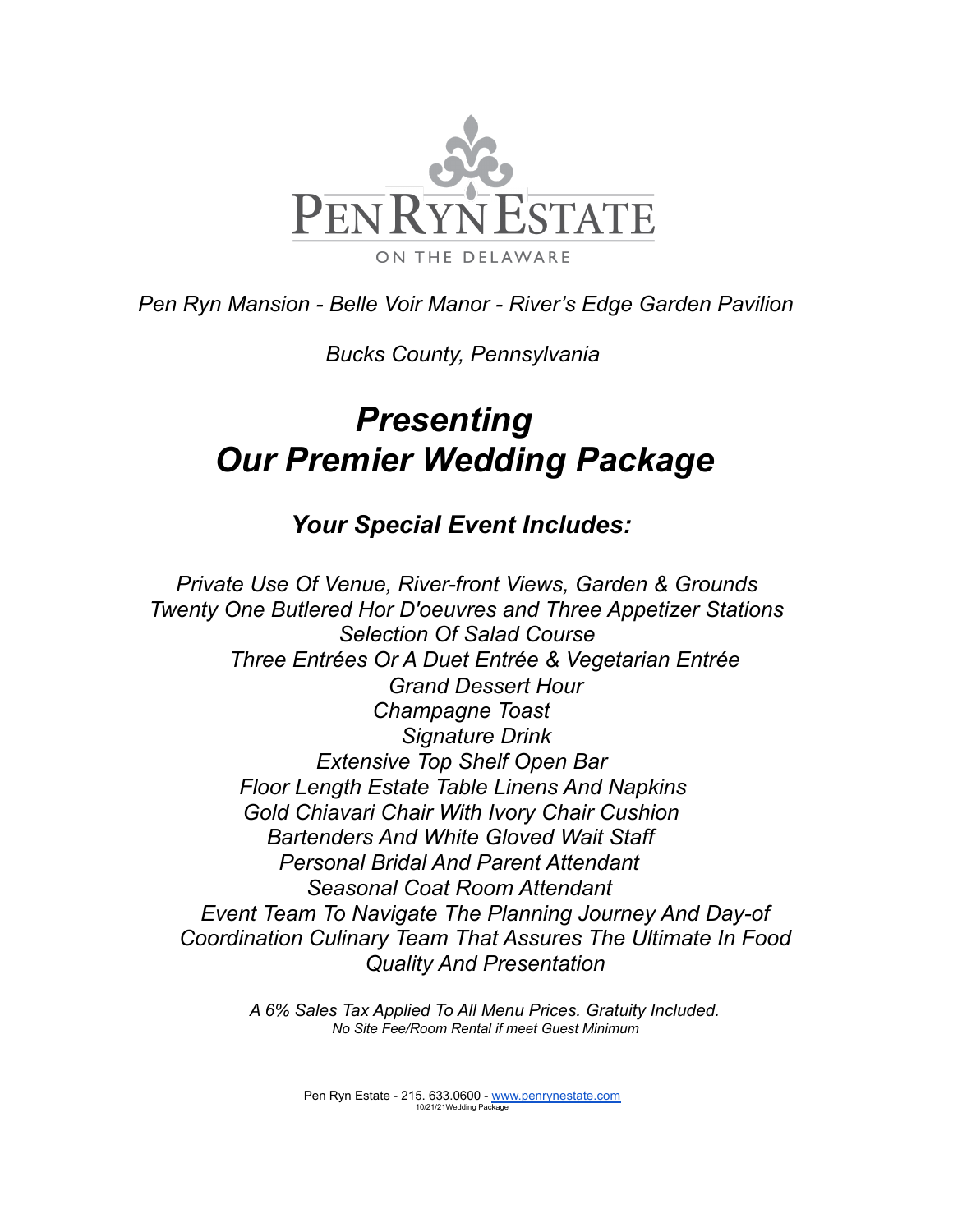

*Pen Ryn Mansion - Belle Voir Manor - River's Edge Garden Pavilion*

*Bucks County, Pennsylvania*

# *Presenting Our Premier Wedding Package*

*Your Special Event Includes:*

*Private Use Of Venue, River-front Views, Garden & Grounds Twenty One Butlered Hor D'oeuvres and Three Appetizer Stations Selection Of Salad Course Three Entrées Or A Duet Entrée & Vegetarian Entrée Grand Dessert Hour Champagne Toast Signature Drink Extensive Top Shelf Open Bar Floor Length Estate Table Linens And Napkins Gold Chiavari Chair With Ivory Chair Cushion Bartenders And White Gloved Wait Staff Personal Bridal And Parent Attendant Seasonal Coat Room Attendant Event Team To Navigate The Planning Journey And Day-of Coordination Culinary Team That Assures The Ultimate In Food Quality And Presentation*

> *A 6% Sales Tax Applied To All Menu Prices. Gratuity Included. No Site Fee/Room Rental if meet Guest Minimum*

> > Pen Ryn Estate - 215. 633.0600 - www.penrynestate.com 10/21/21Wedding Package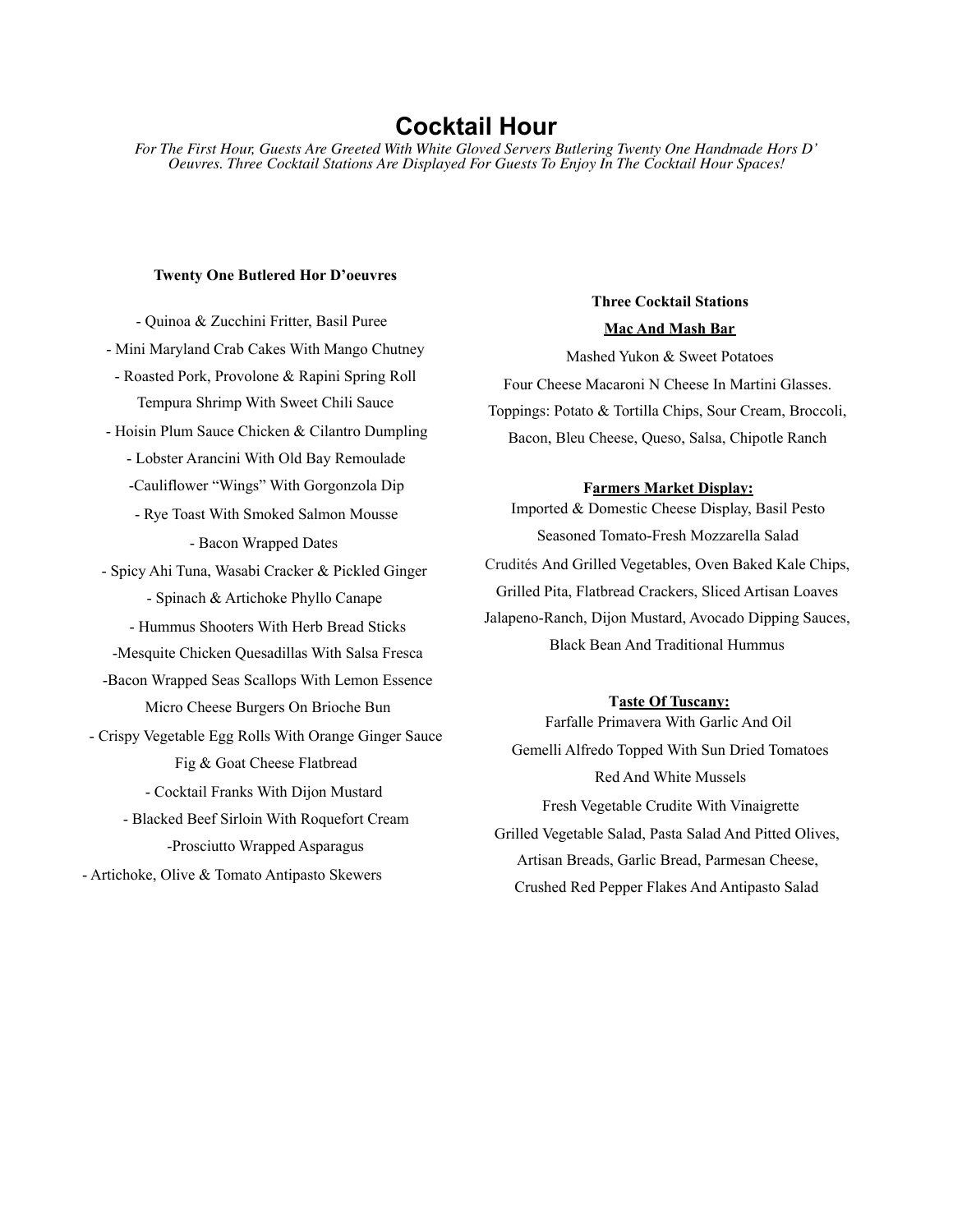### **Cocktail Hour**

*For The First Hour, Guests Are Greeted With White Gloved Servers Butlering Twenty One Handmade Hors D' Oeuvres. Three Cocktail Stations Are Displayed For Guests To Enjoy In The Cocktail Hour Spaces!*

#### **Twenty One Butlered Hor D'oeuvres**

- Quinoa & Zucchini Fritter, Basil Puree - Mini Maryland Crab Cakes With Mango Chutney - Roasted Pork, Provolone & Rapini Spring Roll Tempura Shrimp With Sweet Chili Sauce - Hoisin Plum Sauce Chicken & Cilantro Dumpling - Lobster Arancini With Old Bay Remoulade -Cauliflower "Wings" With Gorgonzola Dip - Rye Toast With Smoked Salmon Mousse - Bacon Wrapped Dates - Spicy Ahi Tuna, Wasabi Cracker & Pickled Ginger - Spinach & Artichoke Phyllo Canape - Hummus Shooters With Herb Bread Sticks -Mesquite Chicken Quesadillas With Salsa Fresca -Bacon Wrapped Seas Scallops With Lemon Essence Micro Cheese Burgers On Brioche Bun - Crispy Vegetable Egg Rolls With Orange Ginger Sauce Fig & Goat Cheese Flatbread - Cocktail Franks With Dijon Mustard - Blacked Beef Sirloin With Roquefort Cream -Prosciutto Wrapped Asparagus - Artichoke, Olive & Tomato Antipasto Skewers

### **Three Cocktail Stations Mac And Mash Bar**

Mashed Yukon & Sweet Potatoes Four Cheese Macaroni N Cheese In Martini Glasses. Toppings: Potato & Tortilla Chips, Sour Cream, Broccoli, Bacon, Bleu Cheese, Queso, Salsa, Chipotle Ranch

#### **Farmers Market Display:**

Imported & Domestic Cheese Display, Basil Pesto Seasoned Tomato-Fresh Mozzarella Salad Crudités And Grilled Vegetables, Oven Baked Kale Chips, Grilled Pita, Flatbread Crackers, Sliced Artisan Loaves Jalapeno-Ranch, Dijon Mustard, Avocado Dipping Sauces, Black Bean And Traditional Hummus

#### **Taste Of Tuscany:**

Farfalle Primavera With Garlic And Oil Gemelli Alfredo Topped With Sun Dried Tomatoes Red And White Mussels Fresh Vegetable Crudite With Vinaigrette Grilled Vegetable Salad, Pasta Salad And Pitted Olives, Artisan Breads, Garlic Bread, Parmesan Cheese, Crushed Red Pepper Flakes And Antipasto Salad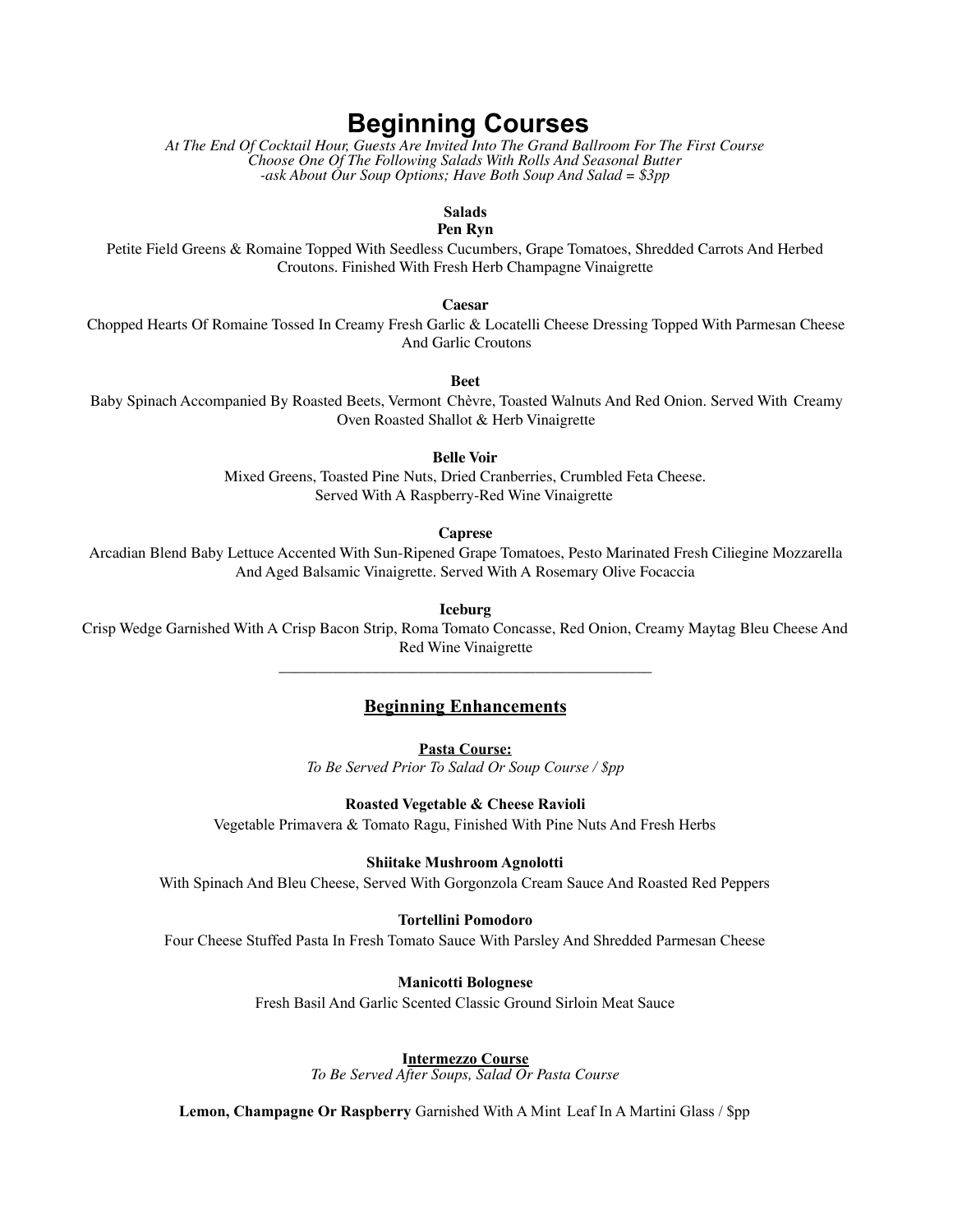## **Beginning Courses**

*At The End Of Cocktail Hour, Guests Are Invited Into The Grand Ballroom For The First Course Choose One Of The Following Salads With Rolls And Seasonal Butter -ask About Our Soup Options; Have Both Soup And Salad = \$3pp*

### **Salads**

#### **Pen Ryn**

Petite Field Greens & Romaine Topped With Seedless Cucumbers, Grape Tomatoes, Shredded Carrots And Herbed Croutons. Finished With Fresh Herb Champagne Vinaigrette

**Caesar**

Chopped Hearts Of Romaine Tossed In Creamy Fresh Garlic & Locatelli Cheese Dressing Topped With Parmesan Cheese And Garlic Croutons

**Beet**

Baby Spinach Accompanied By Roasted Beets, Vermont Chèvre, Toasted Walnuts And Red Onion. Served With Creamy Oven Roasted Shallot & Herb Vinaigrette

#### **Belle Voir**

Mixed Greens, Toasted Pine Nuts, Dried Cranberries, Crumbled Feta Cheese. Served With A Raspberry-Red Wine Vinaigrette

#### **Caprese**

Arcadian Blend Baby Lettuce Accented With Sun-Ripened Grape Tomatoes, Pesto Marinated Fresh Ciliegine Mozzarella And Aged Balsamic Vinaigrette. Served With A Rosemary Olive Focaccia

**Iceburg**

Crisp Wedge Garnished With A Crisp Bacon Strip, Roma Tomato Concasse, Red Onion, Creamy Maytag Bleu Cheese And Red Wine Vinaigrette \_\_\_\_\_\_\_\_\_\_\_\_\_\_\_\_\_\_\_\_\_\_\_\_\_\_\_\_\_\_\_\_\_\_\_\_\_\_\_\_\_\_\_\_\_\_\_\_

### **Beginning Enhancements**

**Pasta Course:**

*To Be Served Prior To Salad Or Soup Course / \$pp*

**Roasted Vegetable & Cheese Ravioli**

Vegetable Primavera & Tomato Ragu, Finished With Pine Nuts And Fresh Herbs

#### **Shiitake Mushroom Agnolotti**

With Spinach And Bleu Cheese, Served With Gorgonzola Cream Sauce And Roasted Red Peppers

#### **Tortellini Pomodoro**

Four Cheese Stuffed Pasta In Fresh Tomato Sauce With Parsley And Shredded Parmesan Cheese

**Manicotti Bolognese**

Fresh Basil And Garlic Scented Classic Ground Sirloin Meat Sauce

#### **Intermezzo Course**

*To Be Served After Soups, Salad Or Pasta Course*

**Lemon, Champagne Or Raspberry** Garnished With A Mint Leaf In A Martini Glass / \$pp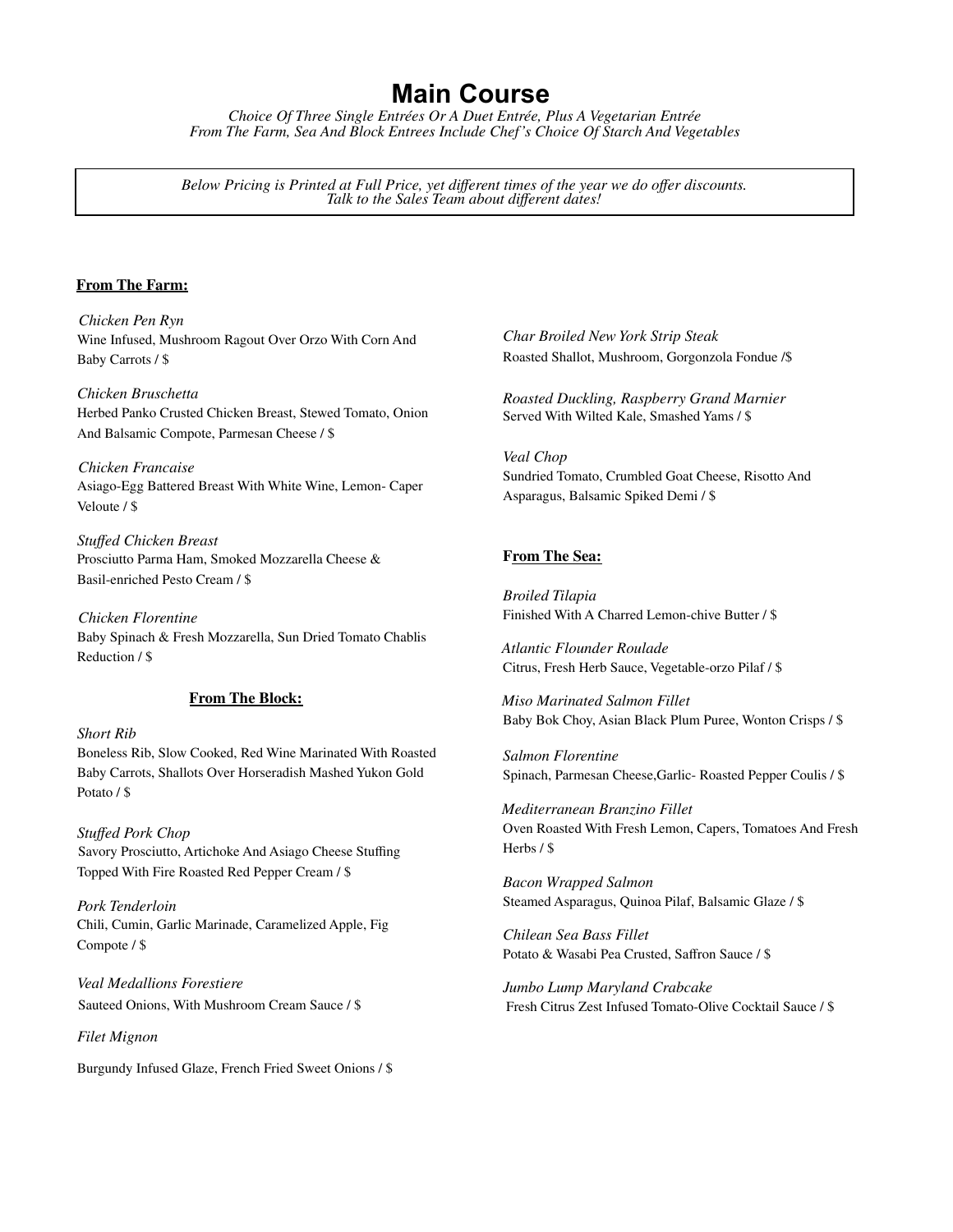## **Main Course**

*Choice Of Three Single Entrées Or A Duet Entrée, Plus A Vegetarian Entrée From The Farm, Sea And Block Entrees Include Chef's Choice Of Starch And Vegetables*

*Below Pricing is Printed at Full Price, yet different times of the year we do offer discounts. Talk to the Sales Team about different dates!*

#### **From The Farm:**

*Chicken Pen Ryn* Wine Infused, Mushroom Ragout Over Orzo With Corn And Baby Carrots / \$

*Chicken Bruschetta* Herbed Panko Crusted Chicken Breast, Stewed Tomato, Onion And Balsamic Compote, Parmesan Cheese / \$

*Chicken Francaise* Asiago-Egg Battered Breast With White Wine, Lemon- Caper Veloute / \$

*Stuffed Chicken Breast* Prosciutto Parma Ham, Smoked Mozzarella Cheese & Basil-enriched Pesto Cream / \$

*Chicken Florentine* Baby Spinach & Fresh Mozzarella, Sun Dried Tomato Chablis Reduction / \$

#### **From The Block:**

#### *Short Rib* Boneless Rib, Slow Cooked, Red Wine Marinated With Roasted Baby Carrots, Shallots Over Horseradish Mashed Yukon Gold Potato / \$

*Stuffed Pork Chop* Savory Prosciutto, Artichoke And Asiago Cheese Stuffing Topped With Fire Roasted Red Pepper Cream / \$

*Pork Tenderloin* Chili, Cumin, Garlic Marinade, Caramelized Apple, Fig Compote / \$

*Veal Medallions Forestiere* Sauteed Onions, With Mushroom Cream Sauce / \$

*Filet Mignon* Burgundy Infused Glaze, French Fried Sweet Onions / \$

*Char Broiled New York Strip Steak* Roasted Shallot, Mushroom, Gorgonzola Fondue /\$

*Roasted Duckling, Raspberry Grand Marnier* Served With Wilted Kale, Smashed Yams / \$

*Veal Chop* Sundried Tomato, Crumbled Goat Cheese, Risotto And Asparagus, Balsamic Spiked Demi / \$

#### **From The Sea:**

*Broiled Tilapia* Finished With A Charred Lemon-chive Butter / \$

*Atlantic Flounder Roulade* Citrus, Fresh Herb Sauce, Vegetable-orzo Pilaf / \$

*Miso Marinated Salmon Fillet* Baby Bok Choy, Asian Black Plum Puree, Wonton Crisps / \$

*Salmon Florentine* Spinach, Parmesan Cheese,Garlic- Roasted Pepper Coulis / \$

*Mediterranean Branzino Fillet* Oven Roasted With Fresh Lemon, Capers, Tomatoes And Fresh Herbs / \$

*Bacon Wrapped Salmon* Steamed Asparagus, Quinoa Pilaf, Balsamic Glaze / \$

*Chilean Sea Bass Fillet* Potato & Wasabi Pea Crusted, Saffron Sauce / \$

*Jumbo Lump Maryland Crabcake* Fresh Citrus Zest Infused Tomato-Olive Cocktail Sauce / \$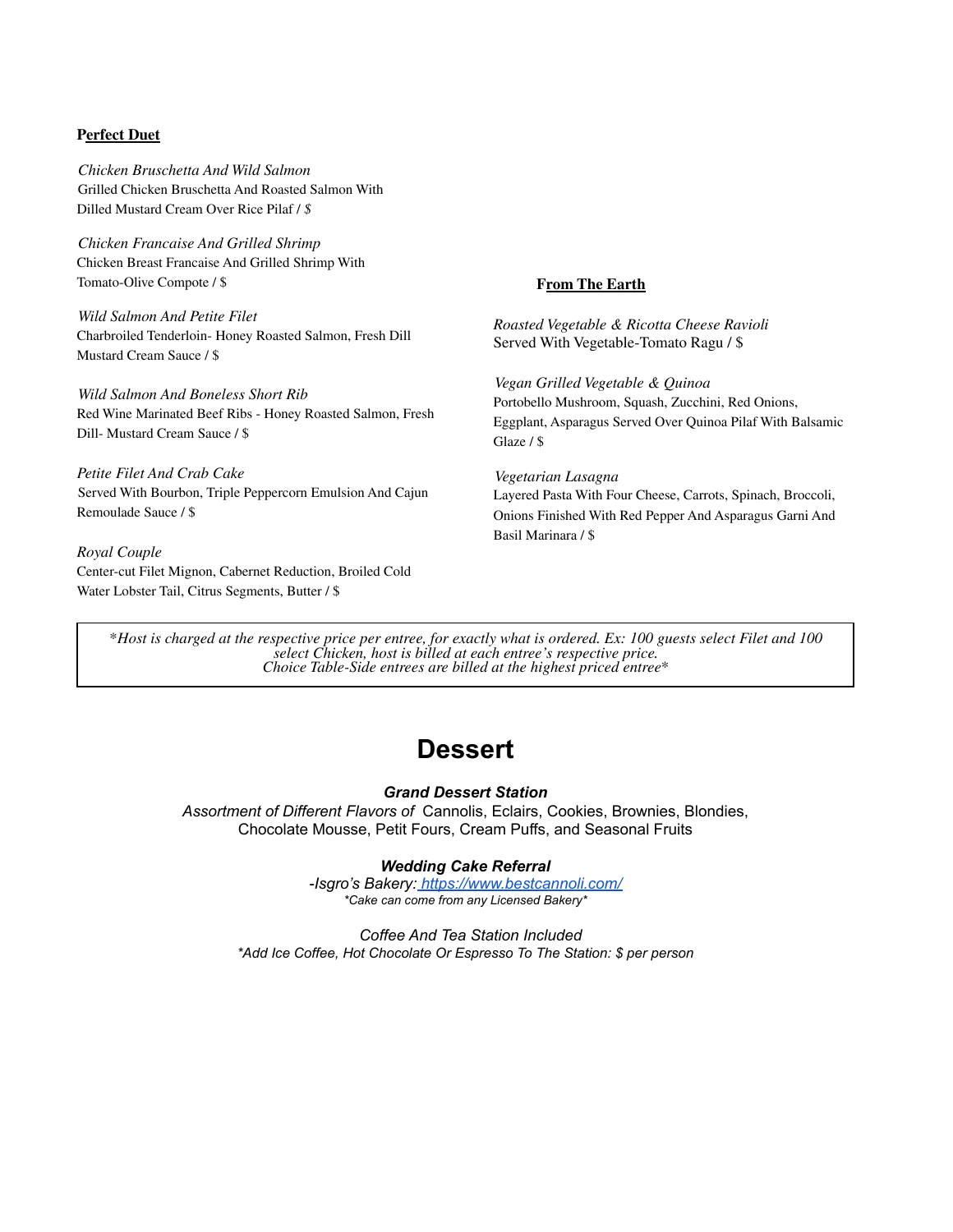#### **Perfect Duet**

*Chicken Bruschetta And Wild Salmon* Grilled Chicken Bruschetta And Roasted Salmon With Dilled Mustard Cream Over Rice Pilaf / *\$*

*Chicken Francaise And Grilled Shrimp* Chicken Breast Francaise And Grilled Shrimp With Tomato-Olive Compote / \$

*Wild Salmon And Petite Filet* Charbroiled Tenderloin- Honey Roasted Salmon, Fresh Dill Mustard Cream Sauce / \$

*Wild Salmon And Boneless Short Rib* Red Wine Marinated Beef Ribs - Honey Roasted Salmon, Fresh Dill- Mustard Cream Sauce / \$

*Petite Filet And Crab Cake* Served With Bourbon, Triple Peppercorn Emulsion And Cajun Remoulade Sauce / \$

*Royal Couple* Center-cut Filet Mignon, Cabernet Reduction, Broiled Cold Water Lobster Tail, Citrus Segments, Butter / \$

#### **From The Earth**

*Roasted Vegetable & Ricotta Cheese Ravioli* Served With Vegetable-Tomato Ragu / \$

*Vegan Grilled Vegetable & Quinoa* Portobello Mushroom, Squash, Zucchini, Red Onions, Eggplant, Asparagus Served Over Quinoa Pilaf With Balsamic Glaze / \$

*Vegetarian Lasagna* Layered Pasta With Four Cheese, Carrots, Spinach, Broccoli, Onions Finished With Red Pepper And Asparagus Garni And Basil Marinara / \$

\*Host is charged at the respective price per entree, for exactly what is ordered. Ex: 100 guests select Filet and 100 *select Chicken, host is billed at each entree's respective price. Choice Table-Side entrees are billed at the highest priced entree\**

## **Dessert**

#### *Grand Dessert Station*

*Assortment of Different Flavors of* Cannolis, Eclairs, Cookies, Brownies, Blondies, Chocolate Mousse, Petit Fours, Cream Puffs, and Seasonal Fruits

### *Wedding Cake Referral*

*-Isgro's Bakery: <https://www.bestcannoli.com/> \*Cake can come from any Licensed Bakery\**

*Coffee And Tea Station Included \*Add Ice Coffee, Hot Chocolate Or Espresso To The Station: \$ per person*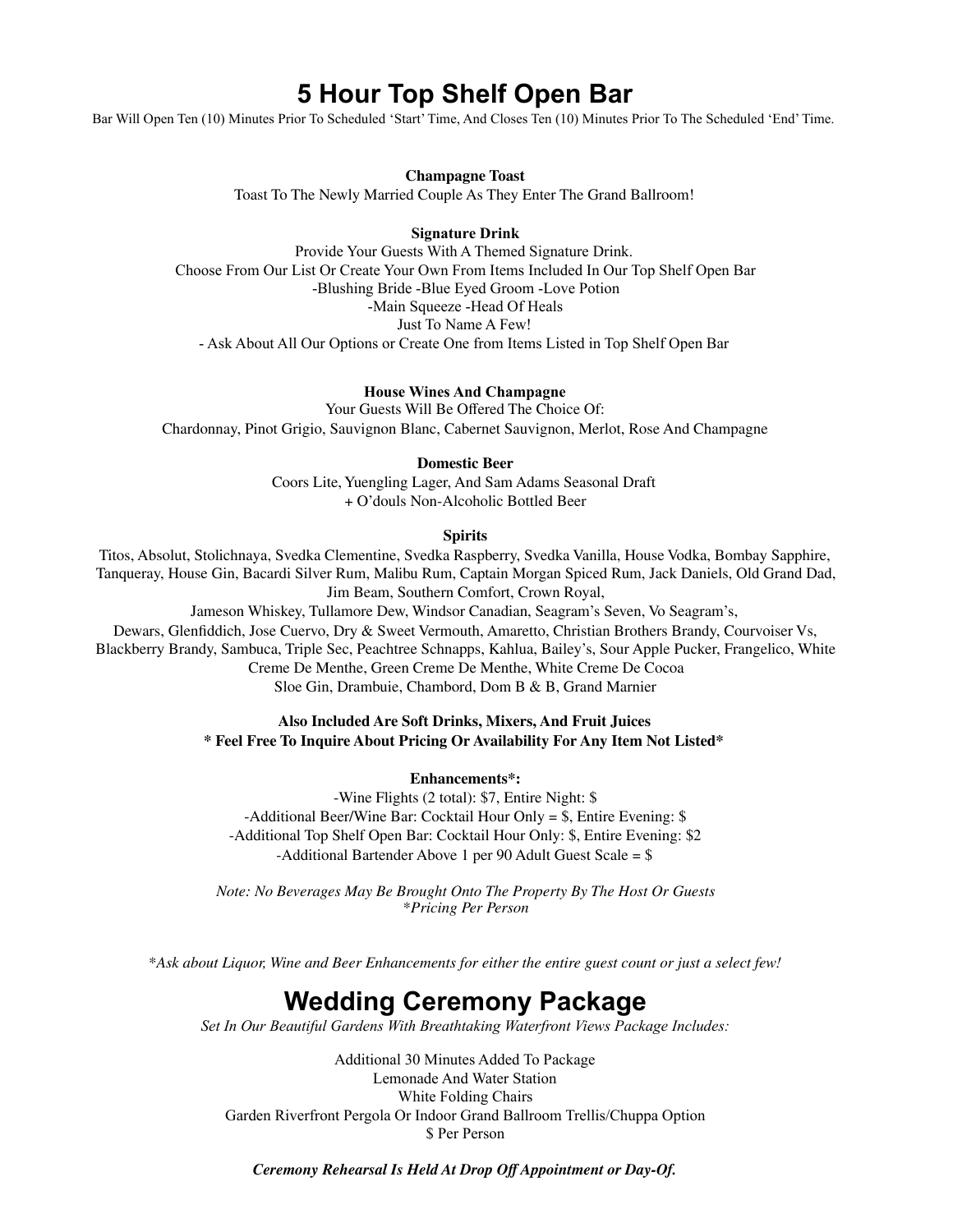## **5 Hour Top Shelf Open Bar**

Bar Will Open Ten (10) Minutes Prior To Scheduled 'Start' Time, And Closes Ten (10) Minutes Prior To The Scheduled 'End' Time.

**Champagne Toast**

Toast To The Newly Married Couple As They Enter The Grand Ballroom!

**Signature Drink**

Provide Your Guests With A Themed Signature Drink. Choose From Our List Or Create Your Own From Items Included In Our Top Shelf Open Bar -Blushing Bride -Blue Eyed Groom -Love Potion -Main Squeeze -Head Of Heals Just To Name A Few! - Ask About All Our Options or Create One from Items Listed in Top Shelf Open Bar

**House Wines And Champagne**

Your Guests Will Be Offered The Choice Of: Chardonnay, Pinot Grigio, Sauvignon Blanc, Cabernet Sauvignon, Merlot, Rose And Champagne

**Domestic Beer**

Coors Lite, Yuengling Lager, And Sam Adams Seasonal Draft + O'douls Non-Alcoholic Bottled Beer

#### **Spirits**

Titos, Absolut, Stolichnaya, Svedka Clementine, Svedka Raspberry, Svedka Vanilla, House Vodka, Bombay Sapphire, Tanqueray, House Gin, Bacardi Silver Rum, Malibu Rum, Captain Morgan Spiced Rum, Jack Daniels, Old Grand Dad, Jim Beam, Southern Comfort, Crown Royal,

Jameson Whiskey, Tullamore Dew, Windsor Canadian, Seagram's Seven, Vo Seagram's, Dewars, Glenfiddich, Jose Cuervo, Dry & Sweet Vermouth, Amaretto, Christian Brothers Brandy, Courvoiser Vs, Blackberry Brandy, Sambuca, Triple Sec, Peachtree Schnapps, Kahlua, Bailey's, Sour Apple Pucker, Frangelico, White Creme De Menthe, Green Creme De Menthe, White Creme De Cocoa Sloe Gin, Drambuie, Chambord, Dom B & B, Grand Marnier

#### **Also Included Are Soft Drinks, Mixers, And Fruit Juices \* Feel Free To Inquire About Pricing Or Availability For Any Item Not Listed\***

**Enhancements\*:**

-Wine Flights (2 total): \$7, Entire Night: \$ -Additional Beer/Wine Bar: Cocktail Hour Only = \$, Entire Evening: \$ -Additional Top Shelf Open Bar: Cocktail Hour Only: \$, Entire Evening: \$2 -Additional Bartender Above 1 per 90 Adult Guest Scale = \$

*Note: No Beverages May Be Brought Onto The Property By The Host Or Guests \*Pricing Per Person*

\*Ask about Liquor, Wine and Beer Enhancements for either the entire guest count or just a select few!

## **Wedding Ceremony Package**

*Set In Our Beautiful Gardens With Breathtaking Waterfront Views Package Includes:*

Additional 30 Minutes Added To Package Lemonade And Water Station White Folding Chairs Garden Riverfront Pergola Or Indoor Grand Ballroom Trellis/Chuppa Option \$ Per Person

*Ceremony Rehearsal Is Held At Drop Off Appointment or Day-Of.*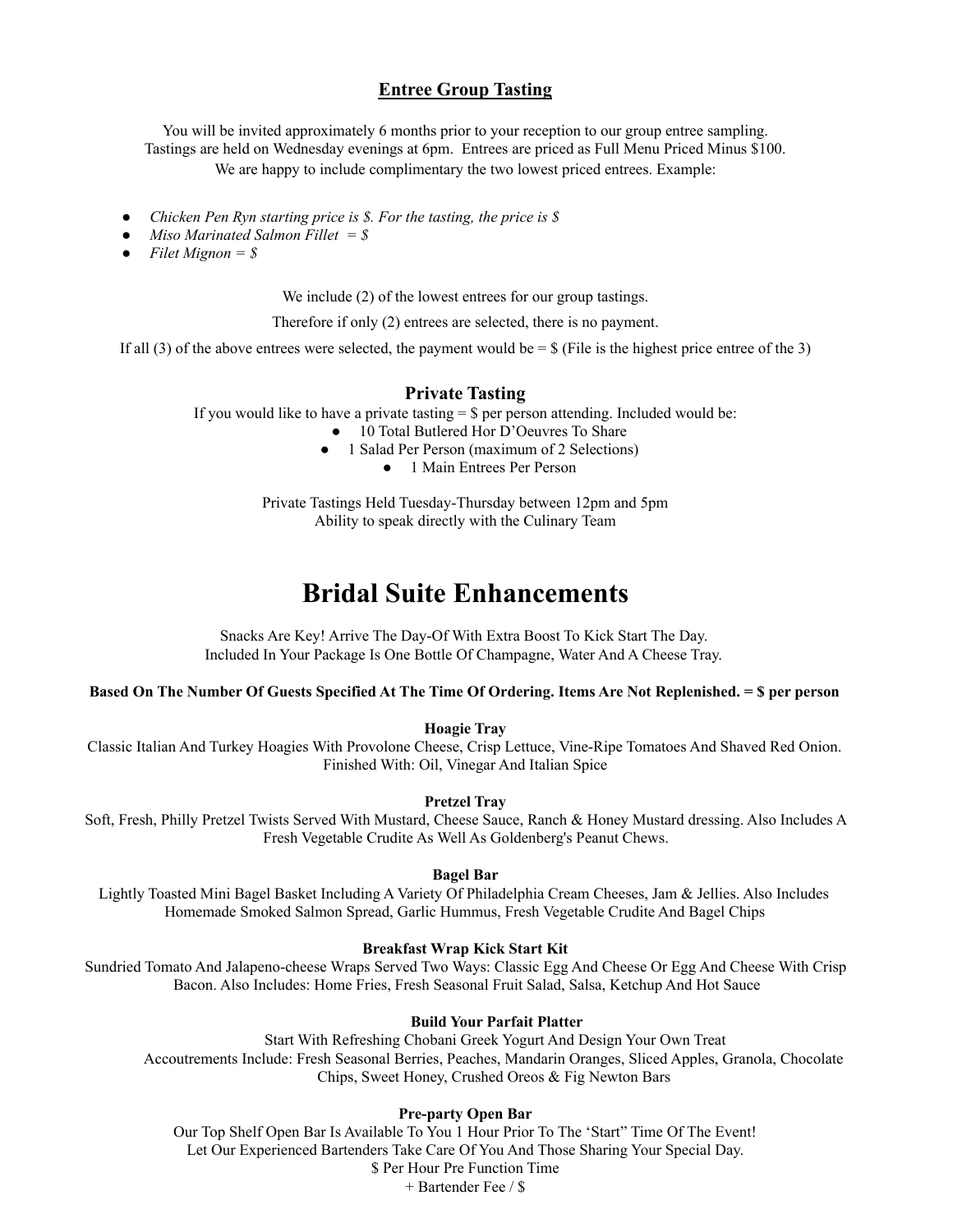### **Entree Group Tasting**

You will be invited approximately 6 months prior to your reception to our group entree sampling. Tastings are held on Wednesday evenings at 6pm. Entrees are priced as Full Menu Priced Minus \$100.

We are happy to include complimentary the two lowest priced entrees. Example:

- *● Chicken Pen Ryn starting price is \$. For the tasting, the price is \$*
- *● Miso Marinated Salmon Fillet = \$*
- *● Filet Mignon = \$*

We include (2) of the lowest entrees for our group tastings.

Therefore if only (2) entrees are selected, there is no payment.

If all (3) of the above entrees were selected, the payment would be  $=$  \$ (File is the highest price entree of the 3)

### **Private Tasting**

If you would like to have a private tasting  $=$  \$ per person attending. Included would be:

- 10 Total Butlered Hor D'Oeuvres To Share
- 1 Salad Per Person (maximum of 2 Selections)
	- 1 Main Entrees Per Person

Private Tastings Held Tuesday-Thursday between 12pm and 5pm Ability to speak directly with the Culinary Team

## **Bridal Suite Enhancements**

Snacks Are Key! Arrive The Day-Of With Extra Boost To Kick Start The Day. Included In Your Package Is One Bottle Of Champagne, Water And A Cheese Tray.

#### Based On The Number Of Guests Specified At The Time Of Ordering. Items Are Not Replenished. = \$ per person

**Hoagie Tray**

Classic Italian And Turkey Hoagies With Provolone Cheese, Crisp Lettuce, Vine-Ripe Tomatoes And Shaved Red Onion. Finished With: Oil, Vinegar And Italian Spice

#### **Pretzel Tray**

Soft, Fresh, Philly Pretzel Twists Served With Mustard, Cheese Sauce, Ranch & Honey Mustard dressing. Also Includes A Fresh Vegetable Crudite As Well As Goldenberg's Peanut Chews.

#### **Bagel Bar**

Lightly Toasted Mini Bagel Basket Including A Variety Of Philadelphia Cream Cheeses, Jam & Jellies. Also Includes Homemade Smoked Salmon Spread, Garlic Hummus, Fresh Vegetable Crudite And Bagel Chips

#### **Breakfast Wrap Kick Start Kit**

Sundried Tomato And Jalapeno-cheese Wraps Served Two Ways: Classic Egg And Cheese Or Egg And Cheese With Crisp Bacon. Also Includes: Home Fries, Fresh Seasonal Fruit Salad, Salsa, Ketchup And Hot Sauce

#### **Build Your Parfait Platter**

Start With Refreshing Chobani Greek Yogurt And Design Your Own Treat Accoutrements Include: Fresh Seasonal Berries, Peaches, Mandarin Oranges, Sliced Apples, Granola, Chocolate Chips, Sweet Honey, Crushed Oreos & Fig Newton Bars

#### **Pre-party Open Bar**

Our Top Shelf Open Bar Is Available To You 1 Hour Prior To The 'Start" Time Of The Event! Let Our Experienced Bartenders Take Care Of You And Those Sharing Your Special Day. \$ Per Hour Pre Function Time

+ Bartender Fee / \$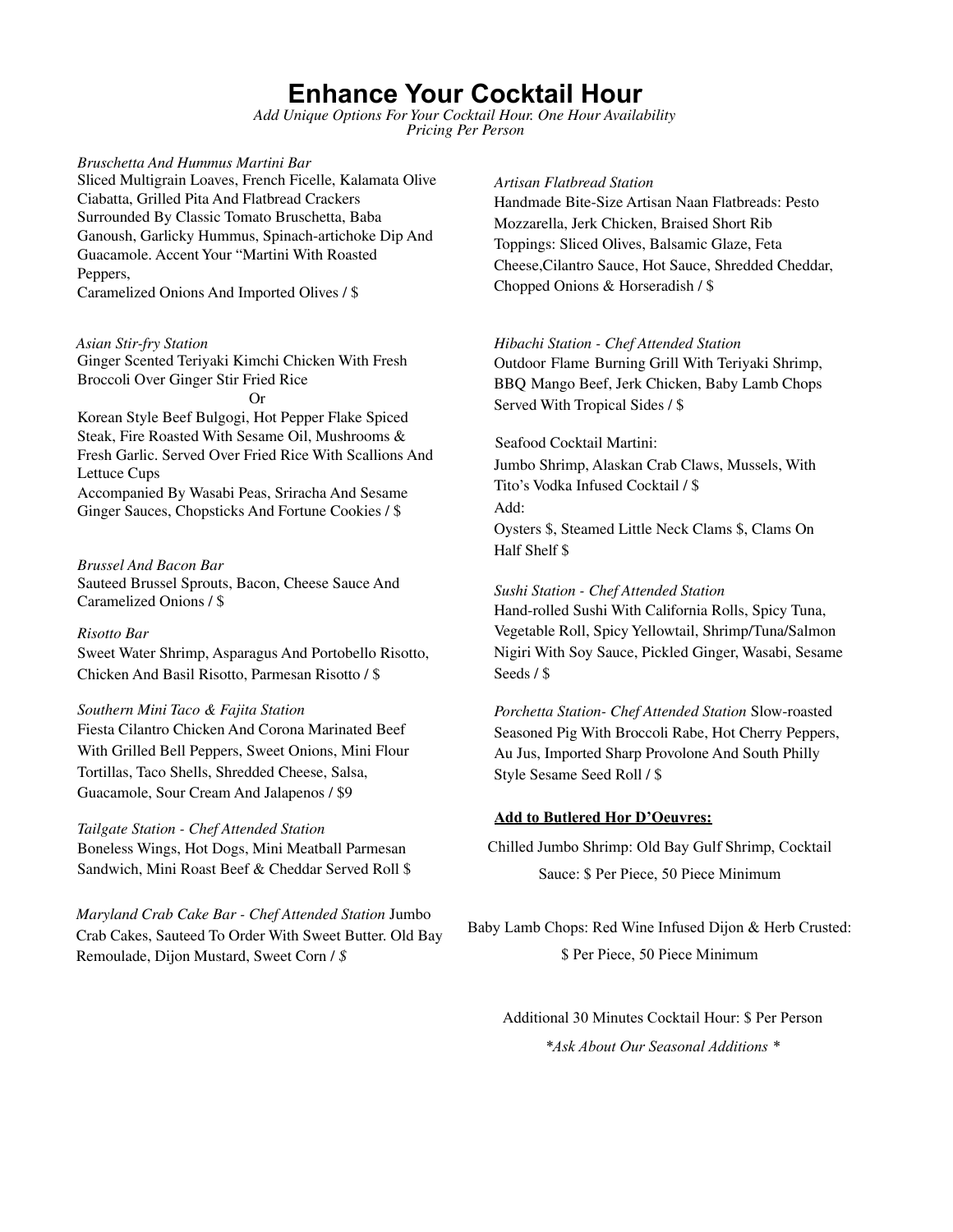## **Enhance Your Cocktail Hour**

*Add Unique Options For Your Cocktail Hour. One Hour Availability Pricing Per Person*

#### *Bruschetta And Hummus Martini Bar*

Sliced Multigrain Loaves, French Ficelle, Kalamata Olive Ciabatta, Grilled Pita And Flatbread Crackers Surrounded By Classic Tomato Bruschetta, Baba Ganoush, Garlicky Hummus, Spinach-artichoke Dip And Guacamole. Accent Your "Martini With Roasted Peppers,

Caramelized Onions And Imported Olives / \$

#### *Asian Stir-fry Station*

Ginger Scented Teriyaki Kimchi Chicken With Fresh Broccoli Over Ginger Stir Fried Rice

Or

Korean Style Beef Bulgogi, Hot Pepper Flake Spiced Steak, Fire Roasted With Sesame Oil, Mushrooms & Fresh Garlic. Served Over Fried Rice With Scallions And Lettuce Cups

Accompanied By Wasabi Peas, Sriracha And Sesame Ginger Sauces, Chopsticks And Fortune Cookies / \$

*Brussel And Bacon Bar* Sauteed Brussel Sprouts, Bacon, Cheese Sauce And Caramelized Onions / \$

#### *Risotto Bar*

Sweet Water Shrimp, Asparagus And Portobello Risotto, Chicken And Basil Risotto, Parmesan Risotto / \$

#### *Southern Mini Taco & Fajita Station*

Fiesta Cilantro Chicken And Corona Marinated Beef With Grilled Bell Peppers, Sweet Onions, Mini Flour Tortillas, Taco Shells, Shredded Cheese, Salsa, Guacamole, Sour Cream And Jalapenos / \$9

### *Tailgate Station - Chef Attended Station* Boneless Wings, Hot Dogs, Mini Meatball Parmesan Sandwich, Mini Roast Beef & Cheddar Served Roll \$

*Maryland Crab Cake Bar - Chef Attended Station* Jumbo Crab Cakes, Sauteed To Order With Sweet Butter. Old Bay Remoulade, Dijon Mustard, Sweet Corn / *\$*

#### *Artisan Flatbread Station*

Handmade Bite-Size Artisan Naan Flatbreads: Pesto Mozzarella, Jerk Chicken, Braised Short Rib Toppings: Sliced Olives, Balsamic Glaze, Feta Cheese,Cilantro Sauce, Hot Sauce, Shredded Cheddar, Chopped Onions & Horseradish / \$

#### *Hibachi Station - Chef Attended Station*

Outdoor Flame Burning Grill With Teriyaki Shrimp, BBQ Mango Beef, Jerk Chicken, Baby Lamb Chops Served With Tropical Sides / \$

#### Seafood Cocktail Martini:

Jumbo Shrimp, Alaskan Crab Claws, Mussels, With Tito's Vodka Infused Cocktail / \$ Add: Oysters \$, Steamed Little Neck Clams \$, Clams On Half Shelf \$

#### *Sushi Station - Chef Attended Station*

Hand-rolled Sushi With California Rolls, Spicy Tuna, Vegetable Roll, Spicy Yellowtail, Shrimp/Tuna/Salmon Nigiri With Soy Sauce, Pickled Ginger, Wasabi, Sesame Seeds / \$

*Porchetta Station- Chef Attended Station* Slow-roasted Seasoned Pig With Broccoli Rabe, Hot Cherry Peppers, Au Jus, Imported Sharp Provolone And South Philly Style Sesame Seed Roll / \$

#### **Add to Butlered Hor D'Oeuvres:**

Chilled Jumbo Shrimp: Old Bay Gulf Shrimp, Cocktail Sauce: \$ Per Piece, 50 Piece Minimum

Baby Lamb Chops: Red Wine Infused Dijon & Herb Crusted: \$ Per Piece, 50 Piece Minimum

Additional 30 Minutes Cocktail Hour: \$ Per Person *\*Ask About Our Seasonal Additions \**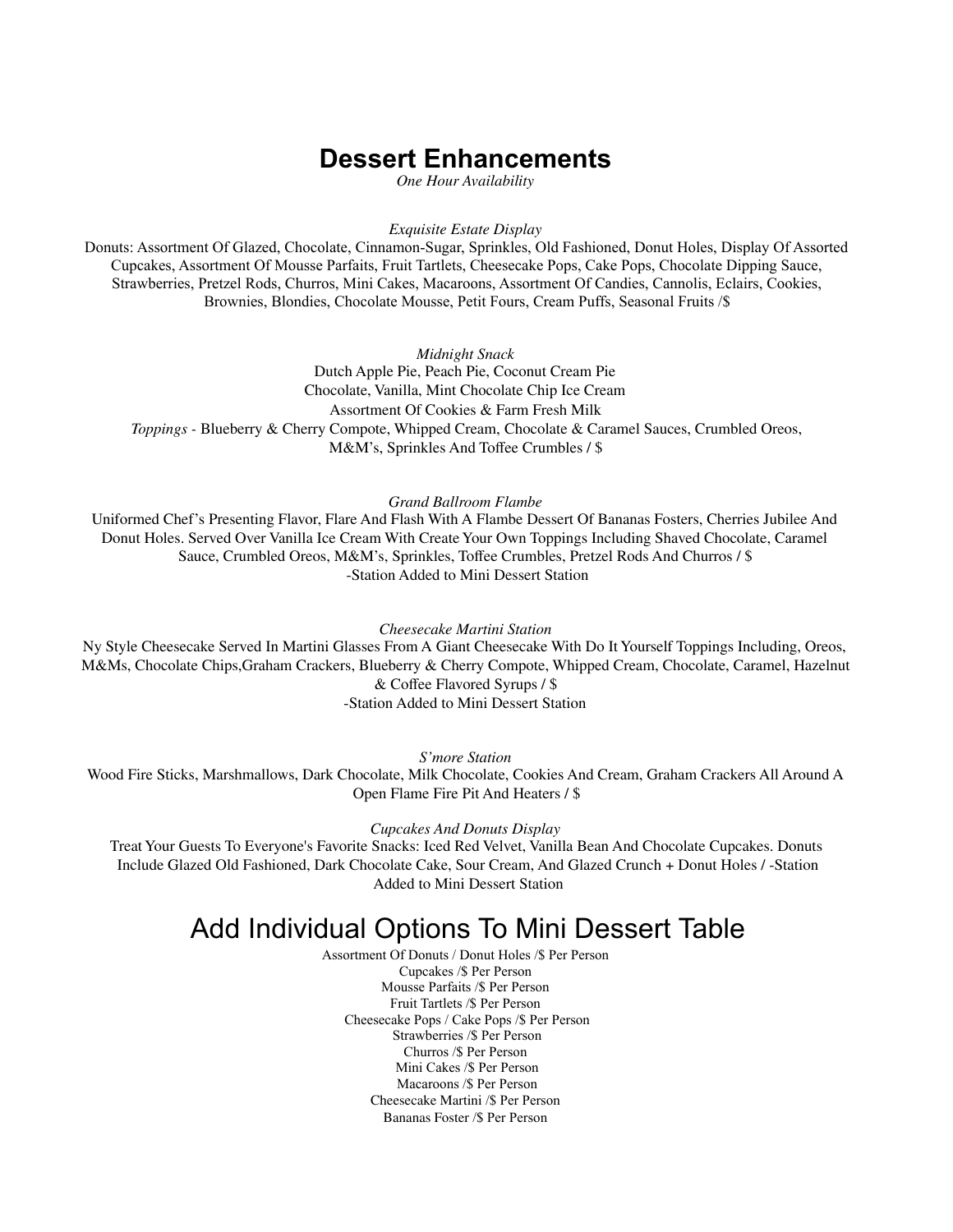## **Dessert Enhancements**

*One Hour Availability*

#### *Exquisite Estate Display*

Donuts: Assortment Of Glazed, Chocolate, Cinnamon-Sugar, Sprinkles, Old Fashioned, Donut Holes, Display Of Assorted Cupcakes, Assortment Of Mousse Parfaits, Fruit Tartlets, Cheesecake Pops, Cake Pops, Chocolate Dipping Sauce, Strawberries, Pretzel Rods, Churros, Mini Cakes, Macaroons, Assortment Of Candies, Cannolis, Eclairs, Cookies, Brownies, Blondies, Chocolate Mousse, Petit Fours, Cream Puffs, Seasonal Fruits /\$

*Midnight Snack*

Dutch Apple Pie, Peach Pie, Coconut Cream Pie Chocolate, Vanilla, Mint Chocolate Chip Ice Cream Assortment Of Cookies & Farm Fresh Milk *Toppings -* Blueberry & Cherry Compote, Whipped Cream, Chocolate & Caramel Sauces, Crumbled Oreos, M&M's, Sprinkles And Toffee Crumbles / \$

#### *Grand Ballroom Flambe*

Uniformed Chef's Presenting Flavor, Flare And Flash With A Flambe Dessert Of Bananas Fosters, Cherries Jubilee And Donut Holes. Served Over Vanilla Ice Cream With Create Your Own Toppings Including Shaved Chocolate, Caramel Sauce, Crumbled Oreos, M&M's, Sprinkles, Toffee Crumbles, Pretzel Rods And Churros / \$ -Station Added to Mini Dessert Station

*Cheesecake Martini Station*

Ny Style Cheesecake Served In Martini Glasses From A Giant Cheesecake With Do It Yourself Toppings Including, Oreos, M&Ms, Chocolate Chips,Graham Crackers, Blueberry & Cherry Compote, Whipped Cream, Chocolate, Caramel, Hazelnut & Coffee Flavored Syrups / \$ -Station Added to Mini Dessert Station

*S'more Station* Wood Fire Sticks, Marshmallows, Dark Chocolate, Milk Chocolate, Cookies And Cream, Graham Crackers All Around A Open Flame Fire Pit And Heaters / \$

*Cupcakes And Donuts Display*

Treat Your Guests To Everyone's Favorite Snacks: Iced Red Velvet, Vanilla Bean And Chocolate Cupcakes. Donuts Include Glazed Old Fashioned, Dark Chocolate Cake, Sour Cream, And Glazed Crunch + Donut Holes / -Station Added to Mini Dessert Station

## Add Individual Options To Mini Dessert Table

Assortment Of Donuts / Donut Holes /\$ Per Person Cupcakes /\$ Per Person Mousse Parfaits /\$ Per Person Fruit Tartlets /\$ Per Person Cheesecake Pops / Cake Pops /\$ Per Person Strawberries /\$ Per Person Churros /\$ Per Person Mini Cakes /\$ Per Person Macaroons /\$ Per Person Cheesecake Martini /\$ Per Person Bananas Foster /\$ Per Person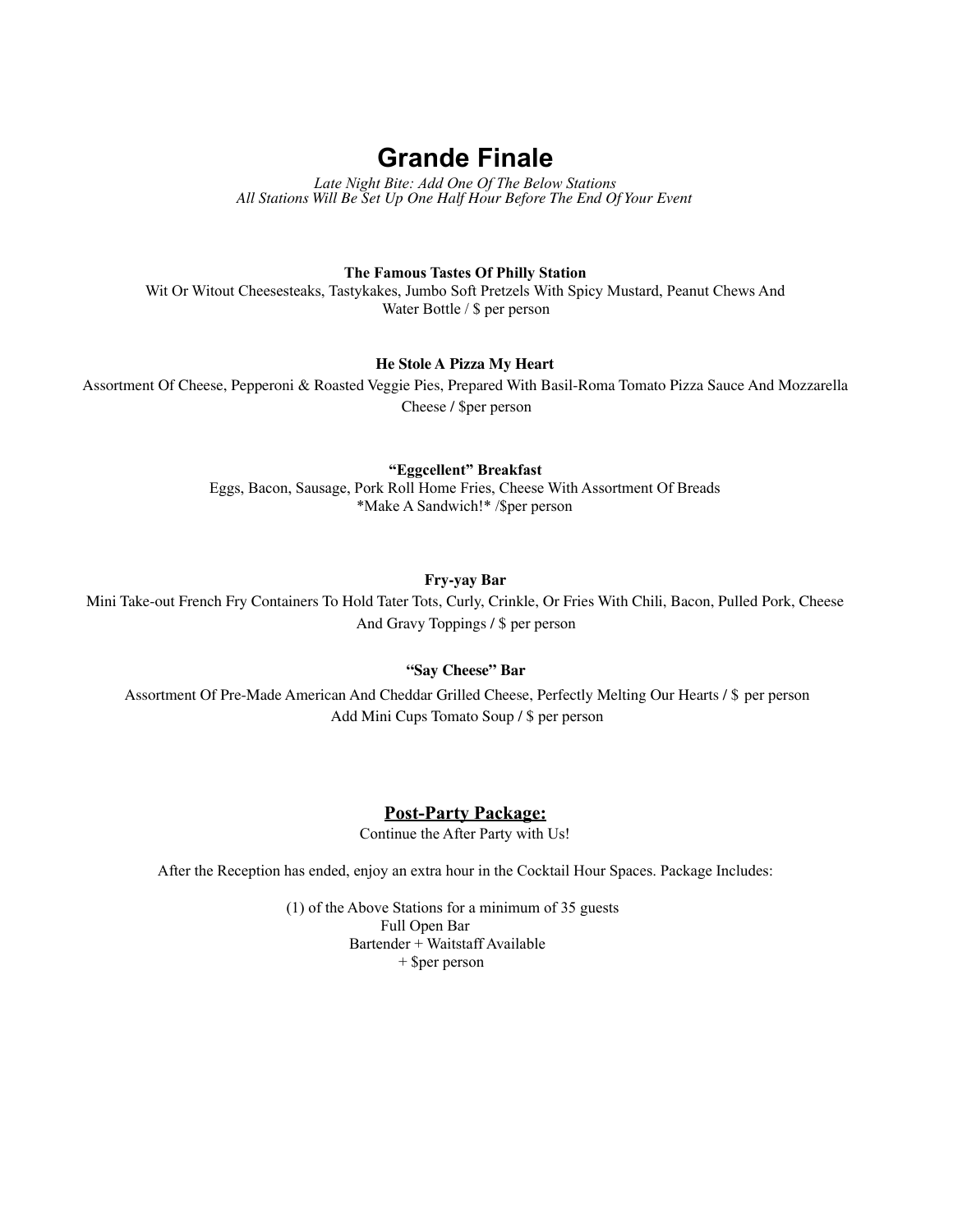## **Grande Finale**

*Late Night Bite: Add One Of The Below Stations All Stations Will Be Set Up One Half Hour Before The End Of Your Event*

**The Famous Tastes Of Philly Station**

Wit Or Witout Cheesesteaks, Tastykakes, Jumbo Soft Pretzels With Spicy Mustard, Peanut Chews And Water Bottle / \$ per person

#### **He Stole A Pizza My Heart**

Assortment Of Cheese, Pepperoni & Roasted Veggie Pies, Prepared With Basil-Roma Tomato Pizza Sauce And Mozzarella Cheese / \$per person

**"Eggcellent" Breakfast**

Eggs, Bacon, Sausage, Pork Roll Home Fries, Cheese With Assortment Of Breads \*Make A Sandwich!\* /\$per person

### **Fry-yay Bar**

Mini Take-out French Fry Containers To Hold Tater Tots, Curly, Crinkle, Or Fries With Chili, Bacon, Pulled Pork, Cheese And Gravy Toppings / \$ per person

#### **"Say Cheese" Bar**

Assortment Of Pre-Made American And Cheddar Grilled Cheese, Perfectly Melting Our Hearts / \$ per person Add Mini Cups Tomato Soup / \$ per person

### **Post-Party Package:**

Continue the After Party with Us!

After the Reception has ended, enjoy an extra hour in the Cocktail Hour Spaces. Package Includes:

(1) of the Above Stations for a minimum of 35 guests Full Open Bar Bartender + Waitstaff Available + \$per person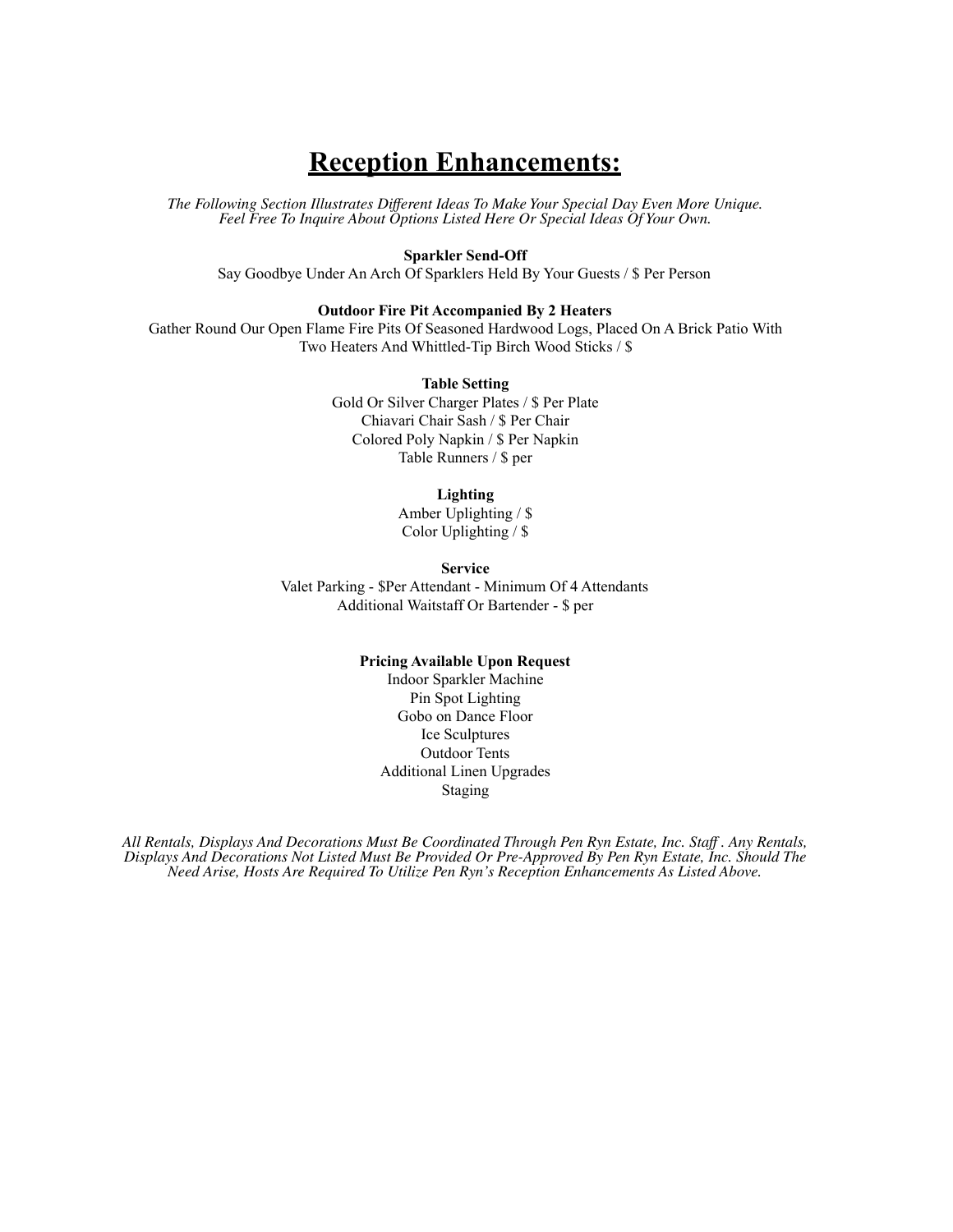## **Reception Enhancements:**

*The Following Section Illustrates Different Ideas To Make Your Special Day Even More Unique. Feel Free To Inquire About Options Listed Here Or Special Ideas Of Your Own.*

#### **Sparkler Send-Off**

Say Goodbye Under An Arch Of Sparklers Held By Your Guests / \$ Per Person

#### **Outdoor Fire Pit Accompanied By 2 Heaters**

Gather Round Our Open Flame Fire Pits Of Seasoned Hardwood Logs, Placed On A Brick Patio With Two Heaters And Whittled-Tip Birch Wood Sticks / \$

#### **Table Setting**

Gold Or Silver Charger Plates / \$ Per Plate Chiavari Chair Sash / \$ Per Chair Colored Poly Napkin / \$ Per Napkin Table Runners / \$ per

#### **Lighting**

Amber Uplighting / \$ Color Uplighting / \$

**Service** Valet Parking - \$Per Attendant - Minimum Of 4 Attendants Additional Waitstaff Or Bartender - \$ per

#### **Pricing Available Upon Request**

Indoor Sparkler Machine Pin Spot Lighting Gobo on Dance Floor Ice Sculptures Outdoor Tents Additional Linen Upgrades Staging

All Rentals, Displays And Decorations Must Be Coordinated Through Pen Ryn Estate, Inc. Staff . Any Rentals, *Displays And Decorations Not Listed Must Be Provided Or Pre-Approved By Pen Ryn Estate, Inc. Should The Need Arise, Hosts Are Required To Utilize Pen Ryn's Reception Enhancements As Listed Above.*